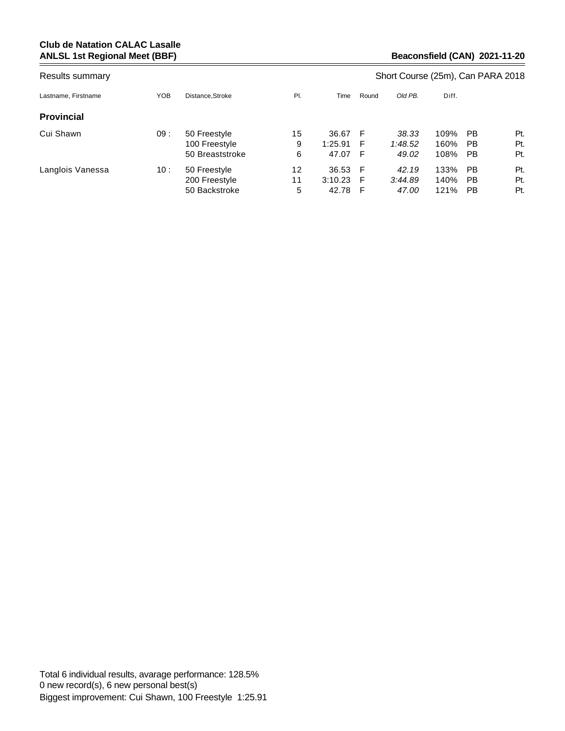| Results summary     |     |                                                  |               |                           | Short Course (25m), Can PARA 2018 |                           |                      |                |                   |  |  |
|---------------------|-----|--------------------------------------------------|---------------|---------------------------|-----------------------------------|---------------------------|----------------------|----------------|-------------------|--|--|
| Lastname, Firstname | YOB | Distance.Stroke                                  | PI.           | Time                      | Round                             | Old PB.                   | Diff.                |                |                   |  |  |
| <b>Provincial</b>   |     |                                                  |               |                           |                                   |                           |                      |                |                   |  |  |
| Cui Shawn           | 09: | 50 Freestyle<br>100 Freestyle<br>50 Breaststroke | 15<br>9<br>6  | 36.67<br>1:25.91<br>47.07 | F<br>F<br>F                       | 38.33<br>1:48.52<br>49.02 | 109%<br>160%<br>108% | PB<br>PB<br>PB | Pt.<br>Pt.<br>Pt. |  |  |
| Langlois Vanessa    | 10: | 50 Freestyle<br>200 Freestyle<br>50 Backstroke   | 12<br>11<br>5 | 36.53<br>3:10.23<br>42.78 | F<br>F<br>F                       | 42.19<br>3:44.89<br>47.00 | 133%<br>140%<br>121% | PB<br>PB<br>PB | Pt.<br>Pt.<br>Pt. |  |  |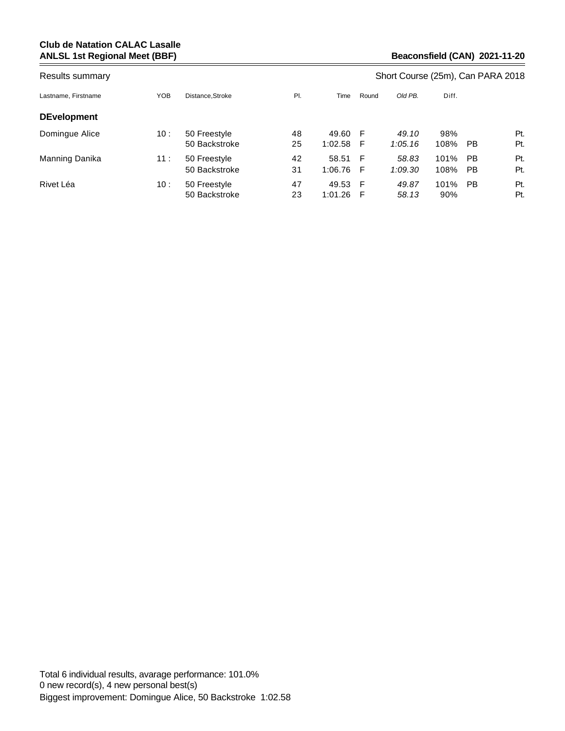| Results summary     |     |                               |          |                  |        | Short Course (25m), Can PARA 2018 |              |          |            |  |  |  |
|---------------------|-----|-------------------------------|----------|------------------|--------|-----------------------------------|--------------|----------|------------|--|--|--|
| Lastname, Firstname | YOB | Distance.Stroke               | PI.      | Time             | Round  | Old PB.                           | Diff.        |          |            |  |  |  |
| <b>DEvelopment</b>  |     |                               |          |                  |        |                                   |              |          |            |  |  |  |
| Domingue Alice      | 10: | 50 Freestyle<br>50 Backstroke | 48<br>25 | 49.60<br>1:02.58 | F<br>F | 49.10<br>1:05.16                  | 98%<br>108%  | PB       | Pt.<br>Pt. |  |  |  |
| Manning Danika      | 11: | 50 Freestyle<br>50 Backstroke | 42<br>31 | 58.51<br>1:06.76 | F<br>F | 58.83<br>1:09.30                  | 101%<br>108% | PB<br>PB | Pt.<br>Pt. |  |  |  |
| Rivet Léa           | 10: | 50 Freestyle<br>50 Backstroke | 47<br>23 | 49.53<br>1:01.26 | F<br>F | 49.87<br>58.13                    | 101%<br>90%  | PB       | Pt.<br>Pt. |  |  |  |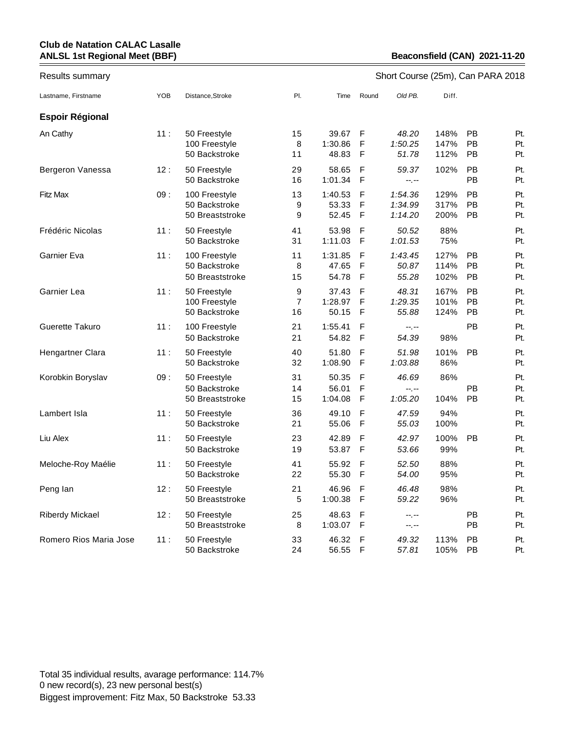| Results summary        |            |                                                   |                           |                           |             | Short Course (25m), Can PARA 2018 |                      |                |                   |
|------------------------|------------|---------------------------------------------------|---------------------------|---------------------------|-------------|-----------------------------------|----------------------|----------------|-------------------|
| Lastname, Firstname    | <b>YOB</b> | Distance, Stroke                                  | PI.                       | Time                      | Round       | Old PB.                           | Diff.                |                |                   |
| <b>Espoir Régional</b> |            |                                                   |                           |                           |             |                                   |                      |                |                   |
| An Cathy               | 11:        | 50 Freestyle<br>100 Freestyle<br>50 Backstroke    | 15<br>8<br>11             | 39.67<br>1:30.86<br>48.83 | F<br>F<br>F | 48.20<br>1:50.25<br>51.78         | 148%<br>147%<br>112% | PB<br>PB<br>PB | Pt.<br>Pt.<br>Pt. |
| Bergeron Vanessa       | 12:        | 50 Freestyle<br>50 Backstroke                     | 29<br>16                  | 58.65<br>1:01.34          | F<br>F      | 59.37<br>--,--                    | 102%                 | PB<br>PB       | Pt.<br>Pt.        |
| <b>Fitz Max</b>        | 09:        | 100 Freestyle<br>50 Backstroke<br>50 Breaststroke | 13<br>9<br>9              | 1:40.53<br>53.33<br>52.45 | F<br>F<br>F | 1:54.36<br>1:34.99<br>1:14.20     | 129%<br>317%<br>200% | PB<br>PB<br>PB | Pt.<br>Pt.<br>Pt. |
| Frédéric Nicolas       | 11:        | 50 Freestyle<br>50 Backstroke                     | 41<br>31                  | 53.98<br>1:11.03          | F<br>F      | 50.52<br>1:01.53                  | 88%<br>75%           |                | Pt.<br>Pt.        |
| Garnier Eva            | 11:        | 100 Freestyle<br>50 Backstroke<br>50 Breaststroke | 11<br>8<br>15             | 1:31.85<br>47.65<br>54.78 | F<br>F<br>F | 1:43.45<br>50.87<br>55.28         | 127%<br>114%<br>102% | PB<br>PB<br>PB | Pt.<br>Pt.<br>Pt. |
| Garnier Lea            | 11:        | 50 Freestyle<br>100 Freestyle<br>50 Backstroke    | 9<br>$\overline{7}$<br>16 | 37.43<br>1:28.97<br>50.15 | F<br>F<br>F | 48.31<br>1:29.35<br>55.88         | 167%<br>101%<br>124% | PB<br>PB<br>PB | Pt.<br>Pt.<br>Pt. |
| Guerette Takuro        | 11:        | 100 Freestyle<br>50 Backstroke                    | 21<br>21                  | 1:55.41<br>54.82          | F<br>F      | $-1 - 1 - 1 = 0$<br>54.39         | 98%                  | PB             | Pt.<br>Pt.        |
| Hengartner Clara       | 11:        | 50 Freestyle<br>50 Backstroke                     | 40<br>32                  | 51.80<br>1:08.90          | F<br>F      | 51.98<br>1:03.88                  | 101%<br>86%          | PB             | Pt.<br>Pt.        |
| Korobkin Boryslav      | 09:        | 50 Freestyle<br>50 Backstroke<br>50 Breaststroke  | 31<br>14<br>15            | 50.35<br>56.01<br>1:04.08 | F<br>F<br>F | 46.69<br>--.--<br>1:05.20         | 86%<br>104%          | PB<br>PB       | Pt.<br>Pt.<br>Pt. |
| Lambert Isla           | 11:        | 50 Freestyle<br>50 Backstroke                     | 36<br>21                  | 49.10<br>55.06            | F<br>F      | 47.59<br>55.03                    | 94%<br>100%          |                | Pt.<br>Pt.        |
| Liu Alex               | 11:        | 50 Freestyle<br>50 Backstroke                     | 23<br>19                  | 42.89<br>53.87            | F<br>F      | 42.97<br>53.66                    | 100%<br>99%          | PB             | Pt.<br>Pt.        |
| Meloche-Roy Maélie     | 11:        | 50 Freestyle<br>50 Backstroke                     | 41<br>22                  | 55.92<br>55.30            | F<br>F      | 52.50<br>54.00                    | 88%<br>95%           |                | Pt.<br>Pt.        |
| Peng lan               | 12:        | 50 Freestyle<br>50 Breaststroke                   | 21<br>5                   | 46.96<br>1:00.38          | F<br>F      | 46.48<br>59.22                    | 98%<br>96%           |                | Pt.<br>Pt.        |
| <b>Riberdy Mickael</b> | 12:        | 50 Freestyle<br>50 Breaststroke                   | 25<br>8                   | 48.63<br>1:03.07          | F<br>F      | --.--<br>--.--                    |                      | PB<br>PB       | Pt.<br>Pt.        |
| Romero Rios Maria Jose | 11:        | 50 Freestyle<br>50 Backstroke                     | 33<br>24                  | 46.32<br>56.55            | F<br>F      | 49.32<br>57.81                    | 113%<br>105%         | PB<br>PB       | Pt.<br>Pt.        |

Total 35 individual results, avarage performance: 114.7% 0 new record(s), 23 new personal best(s) Biggest improvement: Fitz Max, 50 Backstroke 53.33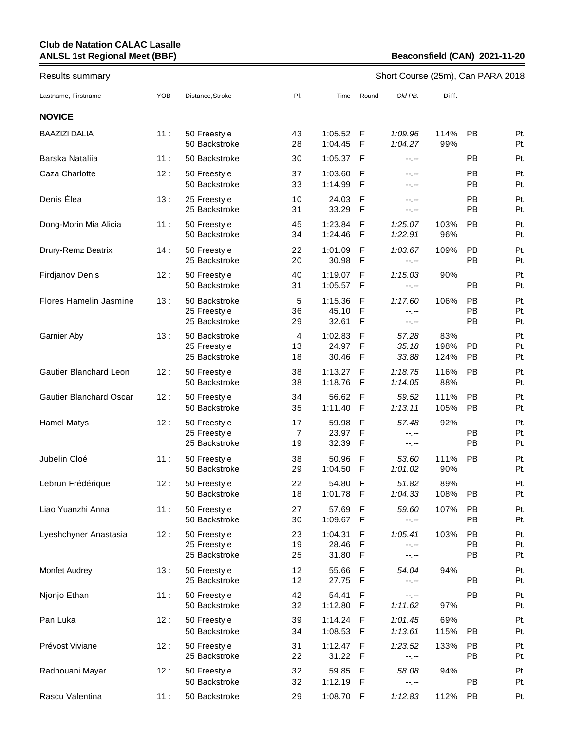# Results summary **Short Course (25m), Can PARA 2018**

| Lastname, Firstname            | YOB | Distance, Stroke                               | PI.            | Time                      | Round                             | Old PB.                                 | Diff.               |                        |                   |
|--------------------------------|-----|------------------------------------------------|----------------|---------------------------|-----------------------------------|-----------------------------------------|---------------------|------------------------|-------------------|
| <b>NOVICE</b>                  |     |                                                |                |                           |                                   |                                         |                     |                        |                   |
| <b>BAAZIZI DALIA</b>           | 11: | 50 Freestyle<br>50 Backstroke                  | 43<br>28       | 1:05.52<br>1:04.45        | F<br>$\mathsf{F}$                 | 1:09.96<br>1:04.27                      | 114%<br>99%         | <b>PB</b>              | Pt.<br>Pt.        |
| Barska Nataliia                | 11: | 50 Backstroke                                  | 30             | 1:05.37                   | F                                 | --.--                                   |                     | <b>PB</b>              | Pt.               |
| Caza Charlotte                 | 12: | 50 Freestyle<br>50 Backstroke                  | 37<br>33       | 1:03.60<br>1:14.99        | F<br>$\mathsf{F}$                 | --,--<br>$-1$ , $-1$                    |                     | <b>PB</b><br><b>PB</b> | Pt.<br>Pt.        |
| Denis Éléa                     | 13: | 25 Freestyle<br>25 Backstroke                  | 10<br>31       | 24.03<br>33.29            | $\mathsf{F}$<br>$\mathsf{F}$      | --,--<br>$-1, -1$                       |                     | PB<br>PB               | Pt.<br>Pt.        |
| Dong-Morin Mia Alicia          | 11: | 50 Freestyle<br>50 Backstroke                  | 45<br>34       | 1:23.84<br>1:24.46        | F<br>$\mathsf{F}$                 | 1:25.07<br>1:22.91                      | 103%<br>96%         | PB                     | Pt.<br>Pt.        |
| Drury-Remz Beatrix             | 14: | 50 Freestyle<br>25 Backstroke                  | 22<br>20       | 1:01.09<br>30.98          | F<br>$\mathsf{F}$                 | 1:03.67<br>--.--                        | 109%                | <b>PB</b><br>PB        | Pt.<br>Pt.        |
| <b>Firdjanov Denis</b>         | 12: | 50 Freestyle<br>50 Backstroke                  | 40<br>31       | 1:19.07<br>1:05.57        | F<br>$\mathsf{F}$                 | 1:15.03<br>$-1, -1$                     | 90%                 | PB                     | Pt.<br>Pt.        |
| Flores Hamelin Jasmine         | 13: | 50 Backstroke<br>25 Freestyle<br>25 Backstroke | 5<br>36<br>29  | 1:15.36<br>45.10<br>32.61 | F<br>$\mathsf{F}$<br>$\mathsf{F}$ | 1:17.60<br>--.--<br>$-1, -1$            | 106%                | <b>PB</b><br>PB<br>PB  | Pt.<br>Pt.<br>Pt. |
| <b>Garnier Aby</b>             | 13: | 50 Backstroke<br>25 Freestyle<br>25 Backstroke | 4<br>13<br>18  | 1:02.83<br>24.97<br>30.46 | F<br>F<br>$\mathsf{F}$            | 57.28<br>35.18<br>33.88                 | 83%<br>198%<br>124% | PB<br>PB               | Pt.<br>Pt.<br>Pt. |
| Gautier Blanchard Leon         | 12: | 50 Freestyle<br>50 Backstroke                  | 38<br>38       | 1:13.27<br>1:18.76        | F<br>$\mathsf{F}$                 | 1:18.75<br>1:14.05                      | 116%<br>88%         | PB                     | Pt.<br>Pt.        |
| <b>Gautier Blanchard Oscar</b> | 12: | 50 Freestyle<br>50 Backstroke                  | 34<br>35       | 56.62<br>1:11.40          | F<br>F                            | 59.52<br>1:13.11                        | 111%<br>105%        | PB<br><b>PB</b>        | Pt.<br>Pt.        |
| <b>Hamel Matys</b>             | 12: | 50 Freestyle<br>25 Freestyle<br>25 Backstroke  | 17<br>7<br>19  | 59.98<br>23.97<br>32.39   | F<br>$\mathsf{F}$<br>$\mathsf F$  | 57.48<br>--,--<br>$-1, -1$              | 92%                 | PB<br>PB               | Pt.<br>Pt.<br>Pt. |
| Jubelin Cloé                   | 11: | 50 Freestyle<br>50 Backstroke                  | 38<br>29       | 50.96<br>1:04.50          | F<br>$\mathsf{F}$                 | 53.60<br>1:01.02                        | 111%<br>90%         | <b>PB</b>              | Pt.<br>Pt.        |
| Lebrun Frédérique              | 12: | 50 Freestyle<br>50 Backstroke                  | 22<br>18       | 54.80<br>1:01.78          | F<br>F                            | 51.82<br>1:04.33                        | 89%<br>108%         | РB                     | Pt.<br>Pt.        |
| Liao Yuanzhi Anna              | 11: | 50 Freestyle<br>50 Backstroke                  | 27<br>30       | 57.69<br>1:09.67          | F<br>F                            | 59.60<br>$-1, -1$                       | 107%                | PB<br><b>PB</b>        | Pt.<br>Pt.        |
| Lyeshchyner Anastasia          | 12: | 50 Freestyle<br>25 Freestyle<br>25 Backstroke  | 23<br>19<br>25 | 1:04.31<br>28.46<br>31.80 | F<br>F<br>F                       | 1:05.41<br>$-1, -1$<br>$-1 - 1 - 1 = 0$ | 103%                | <b>PB</b><br>PB<br>PB  | Pt.<br>Pt.<br>Pt. |
| Monfet Audrey                  | 13: | 50 Freestyle<br>25 Backstroke                  | 12<br>12       | 55.66<br>27.75            | F<br>F                            | 54.04<br>$-1, -1$                       | 94%                 | PB                     | Pt.<br>Pt.        |
| Njonjo Ethan                   | 11: | 50 Freestyle<br>50 Backstroke                  | 42<br>32       | 54.41<br>1:12.80          | F<br>$\mathsf F$                  | $-1, -1$<br>1:11.62                     | 97%                 | PB                     | Pt.<br>Pt.        |
| Pan Luka                       | 12: | 50 Freestyle<br>50 Backstroke                  | 39<br>34       | 1:14.24<br>1:08.53        | F<br>F                            | 1:01.45<br>1:13.61                      | 69%<br>115%         | <b>PB</b>              | Pt.<br>Pt.        |
| Prévost Viviane                | 12: | 50 Freestyle<br>25 Backstroke                  | 31<br>22       | 1:12.47<br>31.22          | F<br>F                            | 1:23.52<br>$-1, -1$                     | 133%                | <b>PB</b><br>PB        | Pt.<br>Pt.        |
| Radhouani Mayar                | 12: | 50 Freestyle<br>50 Backstroke                  | 32<br>32       | 59.85<br>1:12.19          | F<br>F                            | 58.08<br>--.--                          | 94%                 | <b>PB</b>              | Pt.<br>Pt.        |
| Rascu Valentina                | 11: | 50 Backstroke                                  | 29             | 1:08.70                   | F                                 | 1:12.83                                 | 112%                | <b>PB</b>              | Pt.               |